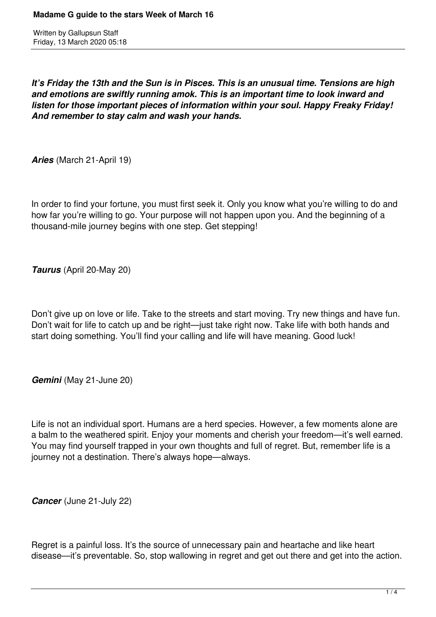*It's Friday the 13th and the Sun is in Pisces. This is an unusual time. Tensions are high and emotions are swiftly running amok. This is an important time to look inward and listen for those important pieces of information within your soul. Happy Freaky Friday! And remember to stay calm and wash your hands.* 

*Aries* (March 21-April 19)

In order to find your fortune, you must first seek it. Only you know what you're willing to do and how far you're willing to go. Your purpose will not happen upon you. And the beginning of a thousand-mile journey begins with one step. Get stepping!

*Taurus* (April 20-May 20)

Don't give up on love or life. Take to the streets and start moving. Try new things and have fun. Don't wait for life to catch up and be right—just take right now. Take life with both hands and start doing something. You'll find your calling and life will have meaning. Good luck!

*Gemini* (May 21-June 20)

Life is not an individual sport. Humans are a herd species. However, a few moments alone are a balm to the weathered spirit. Enjoy your moments and cherish your freedom—it's well earned. You may find yourself trapped in your own thoughts and full of regret. But, remember life is a journey not a destination. There's always hope—always.

*Cancer* (June 21-July 22)

Regret is a painful loss. It's the source of unnecessary pain and heartache and like heart disease—it's preventable. So, stop wallowing in regret and get out there and get into the action.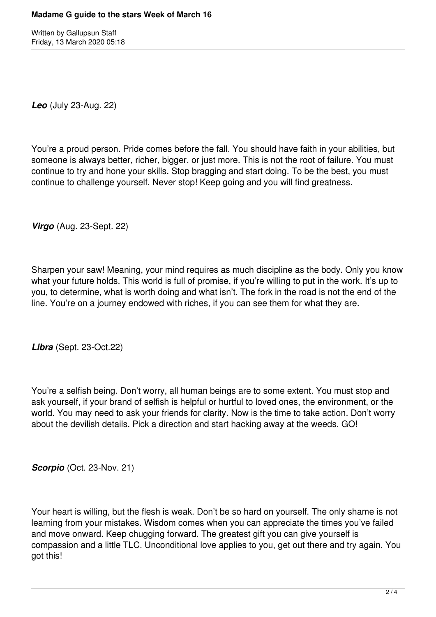*Leo* (July 23-Aug. 22)

You're a proud person. Pride comes before the fall. You should have faith in your abilities, but someone is always better, richer, bigger, or just more. This is not the root of failure. You must continue to try and hone your skills. Stop bragging and start doing. To be the best, you must continue to challenge yourself. Never stop! Keep going and you will find greatness.

*Virgo* (Aug. 23-Sept. 22)

Sharpen your saw! Meaning, your mind requires as much discipline as the body. Only you know what your future holds. This world is full of promise, if you're willing to put in the work. It's up to you, to determine, what is worth doing and what isn't. The fork in the road is not the end of the line. You're on a journey endowed with riches, if you can see them for what they are.

*Libra* (Sept. 23-Oct.22)

You're a selfish being. Don't worry, all human beings are to some extent. You must stop and ask yourself, if your brand of selfish is helpful or hurtful to loved ones, the environment, or the world. You may need to ask your friends for clarity. Now is the time to take action. Don't worry about the devilish details. Pick a direction and start hacking away at the weeds. GO!

**Scorpio** (Oct. 23-Nov. 21)

Your heart is willing, but the flesh is weak. Don't be so hard on yourself. The only shame is not learning from your mistakes. Wisdom comes when you can appreciate the times you've failed and move onward. Keep chugging forward. The greatest gift you can give yourself is compassion and a little TLC. Unconditional love applies to you, get out there and try again. You got this!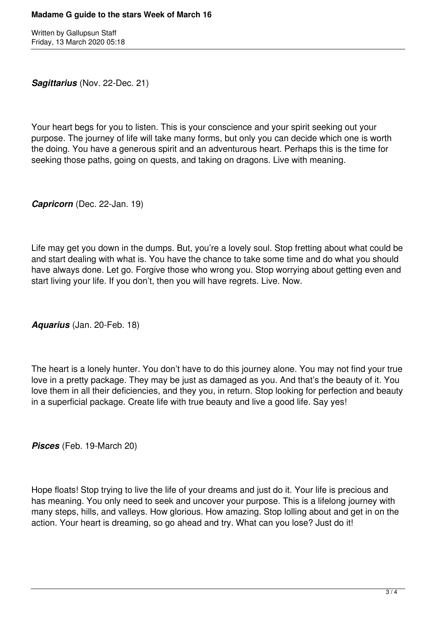*Sagittarius* (Nov. 22-Dec. 21)

Your heart begs for you to listen. This is your conscience and your spirit seeking out your purpose. The journey of life will take many forms, but only you can decide which one is worth the doing. You have a generous spirit and an adventurous heart. Perhaps this is the time for seeking those paths, going on quests, and taking on dragons. Live with meaning.

*Capricorn* (Dec. 22-Jan. 19)

Life may get you down in the dumps. But, you're a lovely soul. Stop fretting about what could be and start dealing with what is. You have the chance to take some time and do what you should have always done. Let go. Forgive those who wrong you. Stop worrying about getting even and start living your life. If you don't, then you will have regrets. Live. Now.

*Aquarius* (Jan. 20-Feb. 18)

The heart is a lonely hunter. You don't have to do this journey alone. You may not find your true love in a pretty package. They may be just as damaged as you. And that's the beauty of it. You love them in all their deficiencies, and they you, in return. Stop looking for perfection and beauty in a superficial package. Create life with true beauty and live a good life. Say yes!

*Pisces* (Feb. 19-March 20)

Hope floats! Stop trying to live the life of your dreams and just do it. Your life is precious and has meaning. You only need to seek and uncover your purpose. This is a lifelong journey with many steps, hills, and valleys. How glorious. How amazing. Stop lolling about and get in on the action. Your heart is dreaming, so go ahead and try. What can you lose? Just do it!